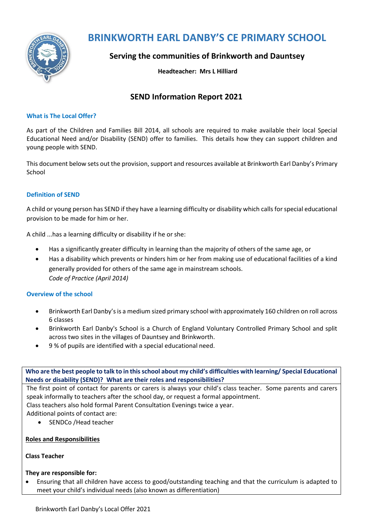

# **BRINKWORTH EARL DANBY'S CE PRIMARY SCHOOL**

# **Serving the communities of Brinkworth and Dauntsey**

### **Headteacher: Mrs L Hilliard**

# **SEND Information Report 2021**

#### **What is The Local Offer?**

As part of the Children and Families Bill 2014, all schools are required to make available their local Special Educational Need and/or Disability (SEND) offer to families. This details how they can support children and young people with SEND.

This document below sets out the provision, support and resources available at Brinkworth Earl Danby's Primary School

### **Definition of SEND**

A child or young person has SEND if they have a learning difficulty or disability which calls for special educational provision to be made for him or her.

A child ...has a learning difficulty or disability if he or she:

- Has a significantly greater difficulty in learning than the majority of others of the same age, or
- Has a disability which prevents or hinders him or her from making use of educational facilities of a kind generally provided for others of the same age in mainstream schools. *Code of Practice (April 2014)*

### **Overview of the school**

- Brinkworth Earl Danby's is a medium sized primary school with approximately 160 children on roll across 6 classes
- Brinkworth Earl Danby's School is a Church of England Voluntary Controlled Primary School and split across two sites in the villages of Dauntsey and Brinkworth.
- 9 % of pupils are identified with a special educational need.

**Who are the best people to talk to in this school about my child's difficulties with learning/ Special Educational Needs or disability (SEND)? What are their roles and responsibilities?**

The first point of contact for parents or carers is always your child's class teacher. Some parents and carers speak informally to teachers after the school day, or request a formal appointment.

Class teachers also hold formal Parent Consultation Evenings twice a year.

Additional points of contact are:

• SENDCo / Head teacher

#### **Roles and Responsibilities**

#### **Class Teacher**

### **They are responsible for:**

 Ensuring that all children have access to good/outstanding teaching and that the curriculum is adapted to meet your child's individual needs (also known as differentiation)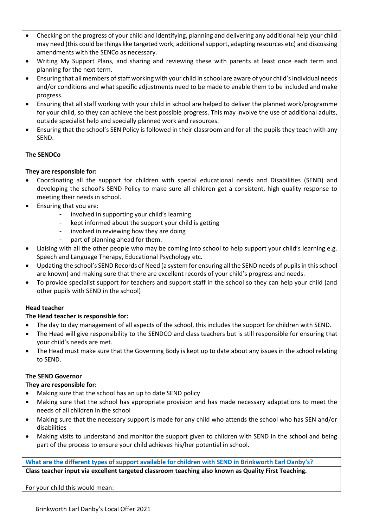- Checking on the progress of your child and identifying, planning and delivering any additional help your child may need (this could be things like targeted work, additional support, adapting resources etc) and discussing amendments with the SENCo as necessary.
- Writing My Support Plans, and sharing and reviewing these with parents at least once each term and planning for the next term.
- Ensuring that all members of staff working with your child in school are aware of your child's individual needs and/or conditions and what specific adjustments need to be made to enable them to be included and make progress.
- Ensuring that all staff working with your child in school are helped to deliver the planned work/programme for your child, so they can achieve the best possible progress. This may involve the use of additional adults, outside specialist help and specially planned work and resources.
- Ensuring that the school's SEN Policy is followed in their classroom and for all the pupils they teach with any SEND.

# **The SENDCo**

### **They are responsible for:**

- Coordinating all the support for children with special educational needs and Disabilities (SEND) and developing the school's SEND Policy to make sure all children get a consistent, high quality response to meeting their needs in school.
- Ensuring that you are:
	- involved in supporting your child's learning
	- kept informed about the support your child is getting
	- involved in reviewing how they are doing
	- part of planning ahead for them.
- Liaising with all the other people who may be coming into school to help support your child's learning e.g. Speech and Language Therapy, Educational Psychology etc.
- Updating the school's SEND Records of Need (a system for ensuring all the SEND needs of pupils in this school are known) and making sure that there are excellent records of your child's progress and needs.
- To provide specialist support for teachers and support staff in the school so they can help your child (and other pupils with SEND in the school)

### **Head teacher**

### **The Head teacher is responsible for:**

- The day to day management of all aspects of the school, this includes the support for children with SEND.
- The Head will give responsibility to the SENDCO and class teachers but is still responsible for ensuring that your child's needs are met.
- The Head must make sure that the Governing Body is kept up to date about any issues in the school relating to SEND.

### **The SEND Governor**

### **They are responsible for:**

- Making sure that the school has an up to date SEND policy
- Making sure that the school has appropriate provision and has made necessary adaptations to meet the needs of all children in the school
- Making sure that the necessary support is made for any child who attends the school who has SEN and/or disabilities
- Making visits to understand and monitor the support given to children with SEND in the school and being part of the process to ensure your child achieves his/her potential in school.

**What are the different types of support available for children with SEND in Brinkworth Earl Danby's? Class teacher input via excellent targeted classroom teaching also known as Quality First Teaching.**

## For your child this would mean: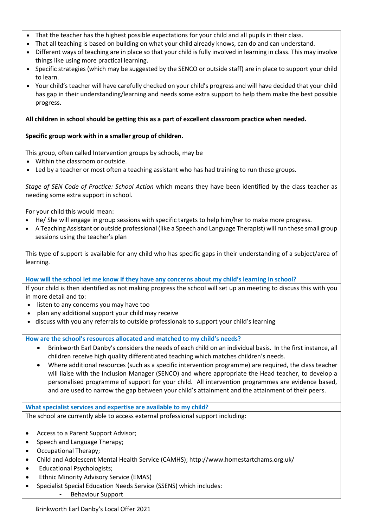- That the teacher has the highest possible expectations for your child and all pupils in their class.
- That all teaching is based on building on what your child already knows, can do and can understand.
- Different ways of teaching are in place so that your child is fully involved in learning in class. This may involve things like using more practical learning.
- Specific strategies (which may be suggested by the SENCO or outside staff) are in place to support your child to learn.
- Your child's teacher will have carefully checked on your child's progress and will have decided that your child has gap in their understanding/learning and needs some extra support to help them make the best possible progress.

## **All children in school should be getting this as a part of excellent classroom practice when needed.**

# **Specific group work with in a smaller group of children.**

This group, often called Intervention groups by schools, may be

- Within the classroom or outside.
- Led by a teacher or most often a teaching assistant who has had training to run these groups.

*Stage of SEN Code of Practice: School Action* which means they have been identified by the class teacher as needing some extra support in school.

For your child this would mean:

- He/ She will engage in group sessions with specific targets to help him/her to make more progress.
- A Teaching Assistant or outside professional (like a Speech and Language Therapist) will run these small group sessions using the teacher's plan

This type of support is available for any child who has specific gaps in their understanding of a subject/area of learning.

**How will the school let me know if they have any concerns about my child's learning in school?**

If your child is then identified as not making progress the school will set up an meeting to discuss this with you in more detail and to:

- listen to any concerns you may have too
- plan any additional support your child may receive
- discuss with you any referrals to outside professionals to support your child's learning

**How are the school's resources allocated and matched to my child's needs?**

- Brinkworth Earl Danby's considers the needs of each child on an individual basis. In the first instance, all children receive high quality differentiated teaching which matches children's needs.
- Where additional resources (such as a specific intervention programme) are required, the class teacher will liaise with the Inclusion Manager (SENCO) and where appropriate the Head teacher, to develop a personalised programme of support for your child. All intervention programmes are evidence based, and are used to narrow the gap between your child's attainment and the attainment of their peers.

**What specialist services and expertise are available to my child?**

The school are currently able to access external professional support including:

- Access to a Parent Support Advisor;
- Speech and Language Therapy;
- Occupational Therapy;
- Child and Adolescent Mental Health Service (CAMHS); http://www.homestartchams.org.uk/
- Educational Psychologists;
- Ethnic Minority Advisory Service (EMAS)
- Specialist Special Education Needs Service (SSENS) which includes:
	- Behaviour Support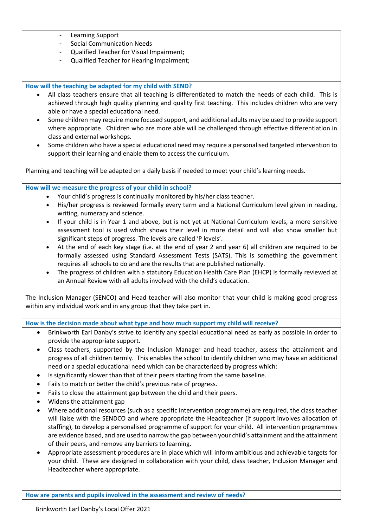- Learning Support
- Social Communication Needs
- Qualified Teacher for Visual Impairment;
- Qualified Teacher for Hearing Impairment;

#### **How will the teaching be adapted for my child with SEND?**

- All class teachers ensure that all teaching is differentiated to match the needs of each child. This is achieved through high quality planning and quality first teaching. This includes children who are very able or have a special educational need.
- Some children may require more focused support, and additional adults may be used to provide support where appropriate. Children who are more able will be challenged through effective differentiation in class and external workshops.
- Some children who have a special educational need may require a personalised targeted intervention to support their learning and enable them to access the curriculum.

Planning and teaching will be adapted on a daily basis if needed to meet your child's learning needs.

**How will we measure the progress of your child in school?**

- Your child's progress is continually monitored by his/her class teacher.
- His/her progress is reviewed formally every term and a National Curriculum level given in reading, writing, numeracy and science.
- If your child is in Year 1 and above, but is not yet at National Curriculum levels, a more sensitive assessment tool is used which shows their level in more detail and will also show smaller but significant steps of progress. The levels are called 'P levels'.
- At the end of each key stage (i.e. at the end of year 2 and year 6) all children are required to be formally assessed using Standard Assessment Tests (SATS). This is something the government requires all schools to do and are the results that are published nationally.
- The progress of children with a statutory Education Health Care Plan (EHCP) is formally reviewed at an Annual Review with all adults involved with the child's education.

The Inclusion Manager (SENCO) and Head teacher will also monitor that your child is making good progress within any individual work and in any group that they take part in.

**How is the decision made about what type and how much support my child will receive?**

- Brinkworth Earl Danby's strive to identify any special educational need as early as possible in order to provide the appropriate support.
- Class teachers, supported by the Inclusion Manager and head teacher, assess the attainment and progress of all children termly. This enables the school to identify children who may have an additional need or a special educational need which can be characterized by progress which:
- Is significantly slower than that of their peers starting from the same baseline.
- Fails to match or better the child's previous rate of progress.
- Fails to close the attainment gap between the child and their peers.
- Widens the attainment gap
- Where additional resources (such as a specific intervention programme) are required, the class teacher will liaise with the SENDCO and where appropriate the Headteacher (if support involves allocation of staffing), to develop a personalised programme of support for your child. All intervention programmes are evidence based, and are used to narrow the gap between your child's attainment and the attainment of their peers, and remove any barriers to learning.
- Appropriate assessment procedures are in place which will inform ambitious and achievable targets for your child. These are designed in collaboration with your child, class teacher, Inclusion Manager and Headteacher where appropriate.

**How are parents and pupils involved in the assessment and review of needs?**